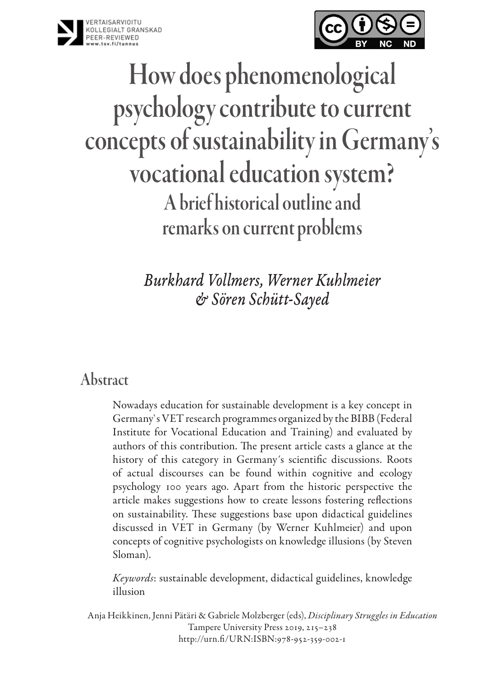



# How does phenomenological psychology contribute to current concepts of sustainability in Germany's vocational education system? A brief historical outline and remarks on current problems

*Burkhard Vollmers, Werner Kuhlmeier & Sören Schütt-Sayed*

### Abstract

Nowadays education for sustainable development is a key concept in Germany`s VET research programmes organized by the BIBB (Federal Institute for Vocational Education and Training) and evaluated by authors of this contribution. The present article casts a glance at the history of this category in Germany´s scientific discussions. Roots of actual discourses can be found within cognitive and ecology psychology 100 years ago. Apart from the historic perspective the article makes suggestions how to create lessons fostering reflections on sustainability. These suggestions base upon didactical guidelines discussed in VET in Germany (by Werner Kuhlmeier) and upon concepts of cognitive psychologists on knowledge illusions (by Steven Sloman).

*Keywords*: sustainable development, didactical guidelines, knowledge illusion

Anja Heikkinen, Jenni Pätäri & Gabriele Molzberger (eds), *Disciplinary Struggles in Education* Tampere University Press 2019, 215–238 http://urn.fi/URN:ISBN:978-952-359-002-1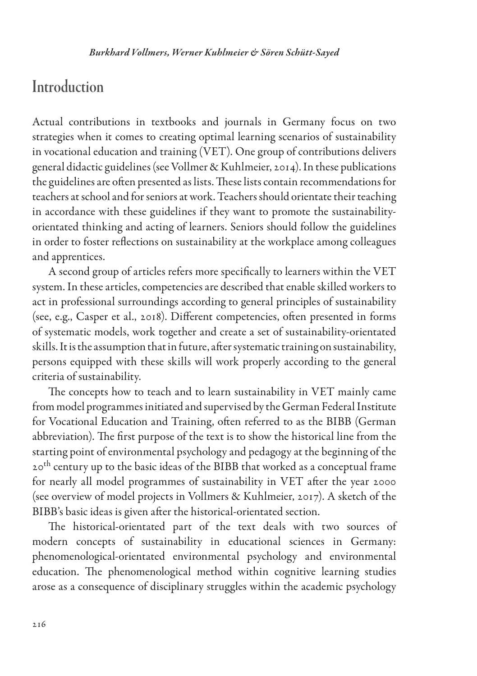### **Introduction**

Actual contributions in textbooks and journals in Germany focus on two strategies when it comes to creating optimal learning scenarios of sustainability in vocational education and training (VET). One group of contributions delivers general didactic guidelines (see Vollmer & Kuhlmeier, 2014). In these publications the guidelines are often presented as lists. These lists contain recommendations for teachers at school and for seniors at work. Teachers should orientate their teaching in accordance with these guidelines if they want to promote the sustainabilityorientated thinking and acting of learners. Seniors should follow the guidelines in order to foster reflections on sustainability at the workplace among colleagues and apprentices.

A second group of articles refers more specifically to learners within the VET system. In these articles, competencies are described that enable skilled workers to act in professional surroundings according to general principles of sustainability (see, e.g., Casper et al., 2018). Different competencies, often presented in forms of systematic models, work together and create a set of sustainability-orientated skills. It is the assumption that in future, after systematic training on sustainability, persons equipped with these skills will work properly according to the general criteria of sustainability.

The concepts how to teach and to learn sustainability in VET mainly came from model programmes initiated and supervised by the German Federal Institute for Vocational Education and Training, often referred to as the BIBB (German abbreviation). The first purpose of the text is to show the historical line from the starting point of environmental psychology and pedagogy at the beginning of the 20<sup>th</sup> century up to the basic ideas of the BIBB that worked as a conceptual frame for nearly all model programmes of sustainability in VET after the year 2000 (see overview of model projects in Vollmers & Kuhlmeier, 2017). A sketch of the BIBB's basic ideas is given after the historical-orientated section.

The historical-orientated part of the text deals with two sources of modern concepts of sustainability in educational sciences in Germany: phenomenological-orientated environmental psychology and environmental education. The phenomenological method within cognitive learning studies arose as a consequence of disciplinary struggles within the academic psychology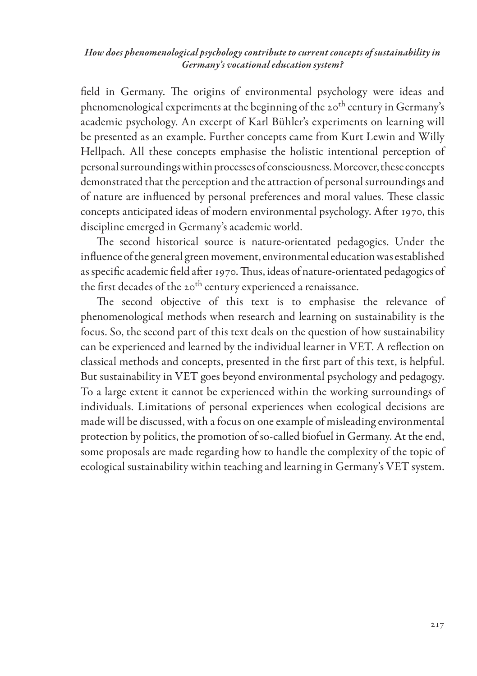field in Germany. The origins of environmental psychology were ideas and phenomenological experiments at the beginning of the 20<sup>th</sup> century in Germany's academic psychology. An excerpt of Karl Bühler's experiments on learning will be presented as an example. Further concepts came from Kurt Lewin and Willy Hellpach. All these concepts emphasise the holistic intentional perception of personal surroundings within processes of consciousness. Moreover, these concepts demonstrated that the perception and the attraction of personal surroundings and of nature are influenced by personal preferences and moral values. These classic concepts anticipated ideas of modern environmental psychology. After 1970, this discipline emerged in Germany's academic world.

The second historical source is nature-orientated pedagogics. Under the influence of the general green movement, environmental education was established as specific academic field after 1970. Thus, ideas of nature-orientated pedagogics of the first decades of the 20<sup>th</sup> century experienced a renaissance.

The second objective of this text is to emphasise the relevance of phenomenological methods when research and learning on sustainability is the focus. So, the second part of this text deals on the question of how sustainability can be experienced and learned by the individual learner in VET. A reflection on classical methods and concepts, presented in the first part of this text, is helpful. But sustainability in VET goes beyond environmental psychology and pedagogy. To a large extent it cannot be experienced within the working surroundings of individuals. Limitations of personal experiences when ecological decisions are made will be discussed, with a focus on one example of misleading environmental protection by politics, the promotion of so-called biofuel in Germany. At the end, some proposals are made regarding how to handle the complexity of the topic of ecological sustainability within teaching and learning in Germany's VET system.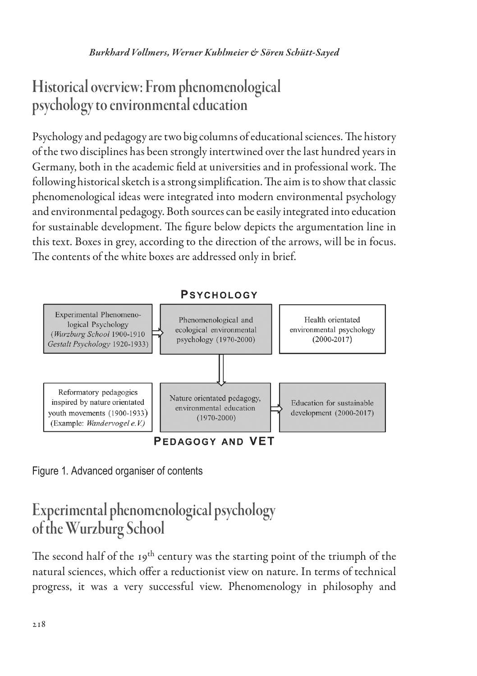# Historical overview: From phenomenological psychology to environmental education

Psychology and pedagogy are two big columns of educational sciences. The history of the two disciplines has been strongly intertwined over the last hundred years in Germany, both in the academic field at universities and in professional work. The following historical sketch is a strong simplification. The aim is to show that classic phenomenological ideas were integrated into modern environmental psychology and environmental pedagogy. Both sources can be easily integrated into education for sustainable development. The figure below depicts the argumentation line in this text. Boxes in grey, according to the direction of the arrows, will be in focus. The contents of the white boxes are addressed only in brief.



Figure 1. Advanced organiser of contents

# Experimental phenomenological psychology of the Wurzburg School

The second half of the 19<sup>th</sup> century was the starting point of the triumph of the natural sciences, which offer a reductionist view on nature. In terms of technical progress, it was a very successful view. Phenomenology in philosophy and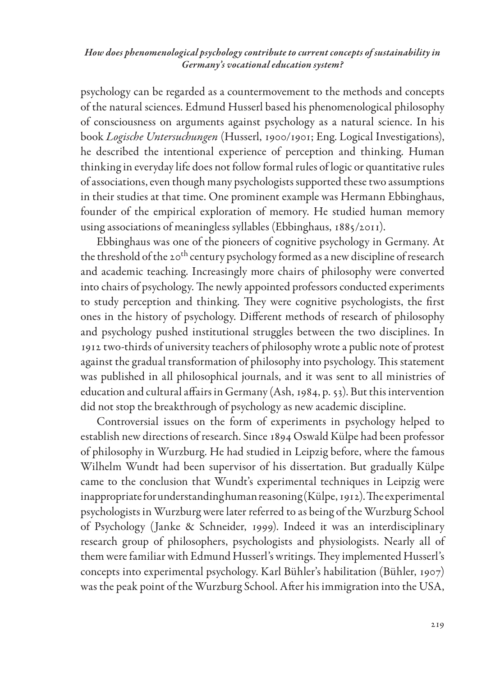psychology can be regarded as a countermovement to the methods and concepts of the natural sciences. Edmund Husserl based his phenomenological philosophy of consciousness on arguments against psychology as a natural science. In his book *Logische Untersuchungen* (Husserl, 1900/1901; Eng. Logical Investigations), he described the intentional experience of perception and thinking. Human thinking in everyday life does not follow formal rules of logic or quantitative rules of associations, even though many psychologists supported these two assumptions in their studies at that time. One prominent example was Hermann Ebbinghaus, founder of the empirical exploration of memory. He studied human memory using associations of meaningless syllables (Ebbinghaus, 1885/2011).

Ebbinghaus was one of the pioneers of cognitive psychology in Germany. At the threshold of the 20<sup>th</sup> century psychology formed as a new discipline of research and academic teaching. Increasingly more chairs of philosophy were converted into chairs of psychology. The newly appointed professors conducted experiments to study perception and thinking. They were cognitive psychologists, the first ones in the history of psychology. Different methods of research of philosophy and psychology pushed institutional struggles between the two disciplines. In 1912 two-thirds of university teachers of philosophy wrote a public note of protest against the gradual transformation of philosophy into psychology. This statement was published in all philosophical journals, and it was sent to all ministries of education and cultural affairs in Germany (Ash, 1984, p. 53). But this intervention did not stop the breakthrough of psychology as new academic discipline.

Controversial issues on the form of experiments in psychology helped to establish new directions of research. Since 1894 Oswald Külpe had been professor of philosophy in Wurzburg. He had studied in Leipzig before, where the famous Wilhelm Wundt had been supervisor of his dissertation. But gradually Külpe came to the conclusion that Wundt's experimental techniques in Leipzig were inappropriate for understanding human reasoning (Külpe, 1912). The experimental psychologists in Wurzburg were later referred to as being of the Wurzburg School of Psychology (Janke & Schneider, 1999). Indeed it was an interdisciplinary research group of philosophers, psychologists and physiologists. Nearly all of them were familiar with Edmund Husserl's writings. They implemented Husserl's concepts into experimental psychology. Karl Bühler's habilitation (Bühler, 1907) was the peak point of the Wurzburg School. After his immigration into the USA,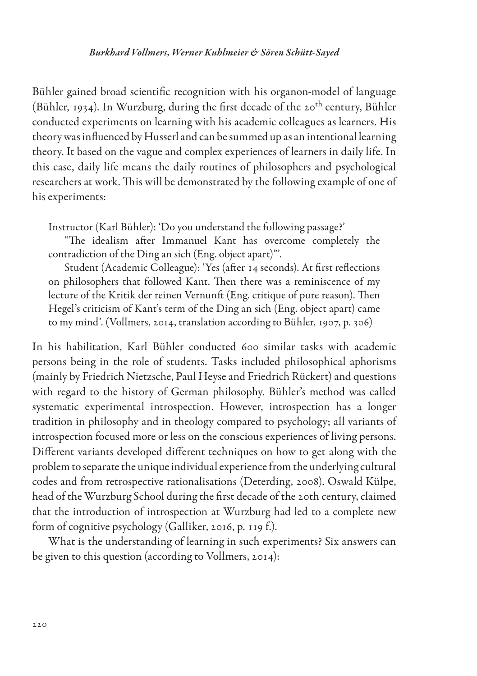#### *Burkhard Vollmers, Werner Kuhlmeier & Sören Schütt-Sayed*

Bühler gained broad scientific recognition with his organon-model of language (Bühler, 1934). In Wurzburg, during the first decade of the 20<sup>th</sup> century, Bühler conducted experiments on learning with his academic colleagues as learners. His theory was influenced by Husserl and can be summed up as an intentional learning theory. It based on the vague and complex experiences of learners in daily life. In this case, daily life means the daily routines of philosophers and psychological researchers at work. This will be demonstrated by the following example of one of his experiments:

Instructor (Karl Bühler): 'Do you understand the following passage?'

"The idealism after Immanuel Kant has overcome completely the contradiction of the Ding an sich (Eng. object apart)"'.

Student (Academic Colleague): 'Yes (after 14 seconds). At first reflections on philosophers that followed Kant. Then there was a reminiscence of my lecture of the Kritik der reinen Vernunft (Eng. critique of pure reason). Then Hegel's criticism of Kant's term of the Ding an sich (Eng. object apart) came to my mind'. (Vollmers, 2014, translation according to Bühler, 1907, p. 306)

In his habilitation, Karl Bühler conducted 600 similar tasks with academic persons being in the role of students. Tasks included philosophical aphorisms (mainly by Friedrich Nietzsche, Paul Heyse and Friedrich Rückert) and questions with regard to the history of German philosophy. Bühler's method was called systematic experimental introspection. However, introspection has a longer tradition in philosophy and in theology compared to psychology; all variants of introspection focused more or less on the conscious experiences of living persons. Different variants developed different techniques on how to get along with the problem to separate the unique individual experience from the underlying cultural codes and from retrospective rationalisations (Deterding, 2008). Oswald Külpe, head of the Wurzburg School during the first decade of the 20th century, claimed that the introduction of introspection at Wurzburg had led to a complete new form of cognitive psychology (Galliker, 2016, p. 119 f.).

What is the understanding of learning in such experiments? Six answers can be given to this question (according to Vollmers, 2014):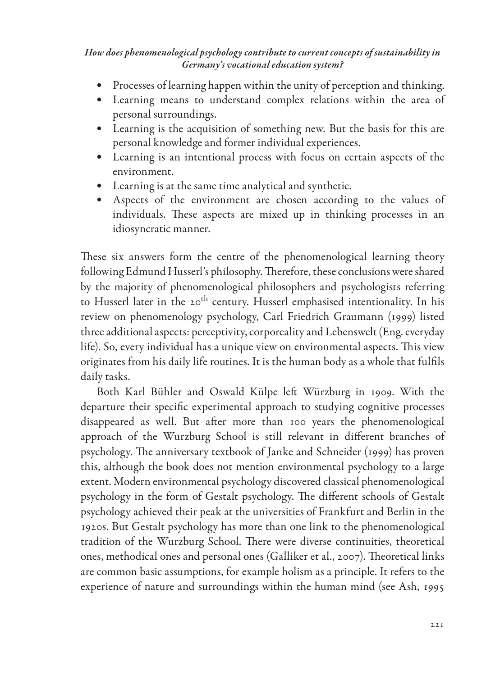- Processes of learning happen within the unity of perception and thinking.
- Learning means to understand complex relations within the area of personal surroundings.
- Learning is the acquisition of something new. But the basis for this are personal knowledge and former individual experiences.
- Learning is an intentional process with focus on certain aspects of the environment.
- Learning is at the same time analytical and synthetic.
- Aspects of the environment are chosen according to the values of individuals. These aspects are mixed up in thinking processes in an idiosyncratic manner.

These six answers form the centre of the phenomenological learning theory following Edmund Husserl's philosophy. Therefore, these conclusions were shared by the majority of phenomenological philosophers and psychologists referring to Husserl later in the 20<sup>th</sup> century. Husserl emphasised intentionality. In his review on phenomenology psychology, Carl Friedrich Graumann (1999) listed three additional aspects: perceptivity, corporeality and Lebenswelt (Eng. everyday life). So, every individual has a unique view on environmental aspects. This view originates from his daily life routines. It is the human body as a whole that fulfils daily tasks.

Both Karl Bühler and Oswald Külpe left Würzburg in 1909. With the departure their specific experimental approach to studying cognitive processes disappeared as well. But after more than 100 years the phenomenological approach of the Wurzburg School is still relevant in different branches of psychology. The anniversary textbook of Janke and Schneider (1999) has proven this, although the book does not mention environmental psychology to a large extent. Modern environmental psychology discovered classical phenomenological psychology in the form of Gestalt psychology. The different schools of Gestalt psychology achieved their peak at the universities of Frankfurt and Berlin in the 1920s. But Gestalt psychology has more than one link to the phenomenological tradition of the Wurzburg School. There were diverse continuities, theoretical ones, methodical ones and personal ones (Galliker et al., 2007). Theoretical links are common basic assumptions, for example holism as a principle. It refers to the experience of nature and surroundings within the human mind (see Ash, 1995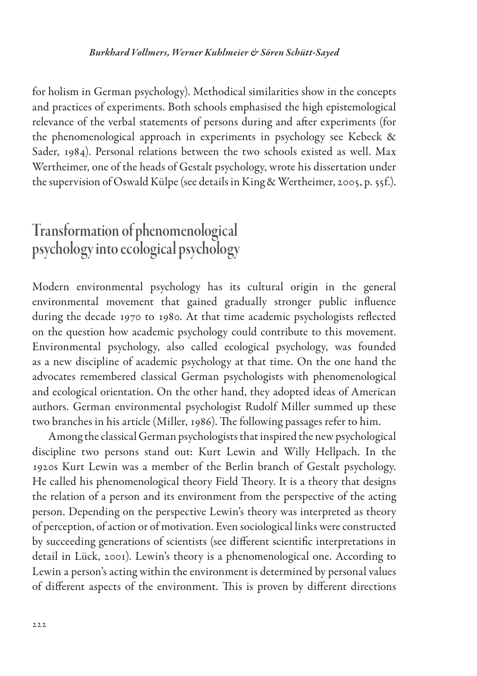#### *Burkhard Vollmers, Werner Kuhlmeier & Sören Schütt-Sayed*

for holism in German psychology). Methodical similarities show in the concepts and practices of experiments. Both schools emphasised the high epistemological relevance of the verbal statements of persons during and after experiments (for the phenomenological approach in experiments in psychology see Kebeck & Sader, 1984). Personal relations between the two schools existed as well. Max Wertheimer, one of the heads of Gestalt psychology, wrote his dissertation under the supervision of Oswald Külpe (see details in King & Wertheimer, 2005, p. 55f.).

# Transformation of phenomenological psychology into ecological psychology

Modern environmental psychology has its cultural origin in the general environmental movement that gained gradually stronger public influence during the decade 1970 to 1980. At that time academic psychologists reflected on the question how academic psychology could contribute to this movement. Environmental psychology, also called ecological psychology, was founded as a new discipline of academic psychology at that time. On the one hand the advocates remembered classical German psychologists with phenomenological and ecological orientation. On the other hand, they adopted ideas of American authors. German environmental psychologist Rudolf Miller summed up these two branches in his article (Miller, 1986). The following passages refer to him.

Among the classical German psychologists that inspired the new psychological discipline two persons stand out: Kurt Lewin and Willy Hellpach. In the 1920s Kurt Lewin was a member of the Berlin branch of Gestalt psychology. He called his phenomenological theory Field Theory. It is a theory that designs the relation of a person and its environment from the perspective of the acting person. Depending on the perspective Lewin's theory was interpreted as theory of perception, of action or of motivation. Even sociological links were constructed by succeeding generations of scientists (see different scientific interpretations in detail in Lück, 2001). Lewin's theory is a phenomenological one. According to Lewin a person's acting within the environment is determined by personal values of different aspects of the environment. This is proven by different directions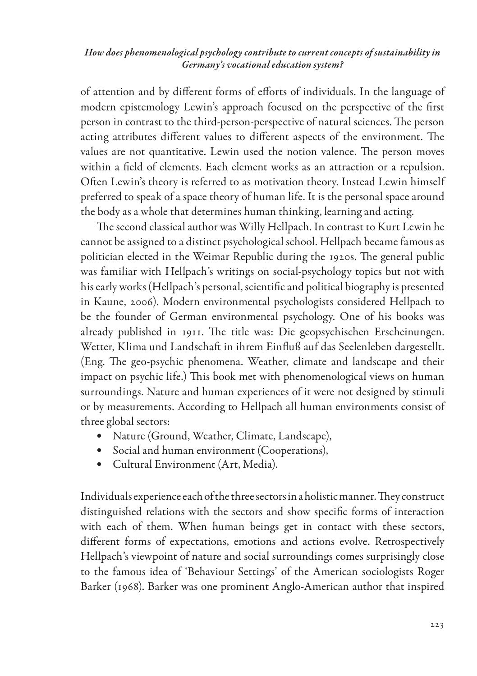of attention and by different forms of efforts of individuals. In the language of modern epistemology Lewin's approach focused on the perspective of the first person in contrast to the third-person-perspective of natural sciences. The person acting attributes different values to different aspects of the environment. The values are not quantitative. Lewin used the notion valence. The person moves within a field of elements. Each element works as an attraction or a repulsion. Often Lewin's theory is referred to as motivation theory. Instead Lewin himself preferred to speak of a space theory of human life. It is the personal space around the body as a whole that determines human thinking, learning and acting.

The second classical author was Willy Hellpach. In contrast to Kurt Lewin he cannot be assigned to a distinct psychological school. Hellpach became famous as politician elected in the Weimar Republic during the 1920s. The general public was familiar with Hellpach's writings on social-psychology topics but not with his early works (Hellpach's personal, scientific and political biography is presented in Kaune, 2006). Modern environmental psychologists considered Hellpach to be the founder of German environmental psychology. One of his books was already published in 1911. The title was: Die geopsychischen Erscheinungen. Wetter, Klima und Landschaft in ihrem Einfluß auf das Seelenleben dargestellt. (Eng. The geo-psychic phenomena. Weather, climate and landscape and their impact on psychic life.) This book met with phenomenological views on human surroundings. Nature and human experiences of it were not designed by stimuli or by measurements. According to Hellpach all human environments consist of three global sectors:

- Nature (Ground, Weather, Climate, Landscape),
- Social and human environment (Cooperations),
- Cultural Environment (Art, Media).

Individuals experience each of the three sectors in a holistic manner. They construct distinguished relations with the sectors and show specific forms of interaction with each of them. When human beings get in contact with these sectors, different forms of expectations, emotions and actions evolve. Retrospectively Hellpach's viewpoint of nature and social surroundings comes surprisingly close to the famous idea of 'Behaviour Settings' of the American sociologists Roger Barker (1968). Barker was one prominent Anglo-American author that inspired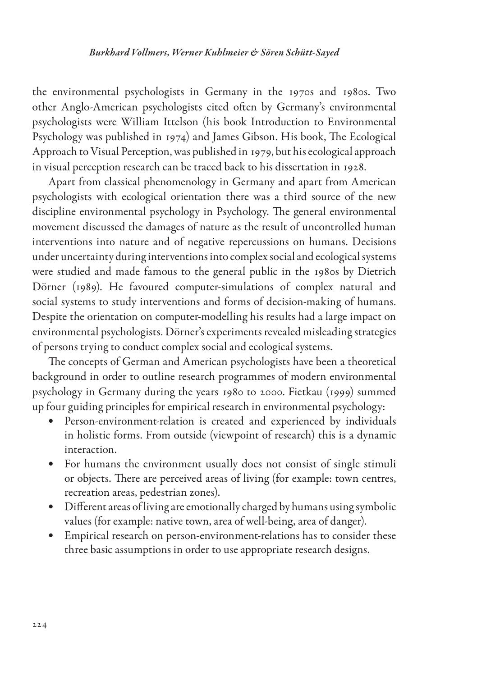the environmental psychologists in Germany in the 1970s and 1980s. Two other Anglo-American psychologists cited often by Germany's environmental psychologists were William Ittelson (his book Introduction to Environmental Psychology was published in 1974) and James Gibson. His book, The Ecological Approach to Visual Perception, was published in 1979, but his ecological approach in visual perception research can be traced back to his dissertation in 1928.

Apart from classical phenomenology in Germany and apart from American psychologists with ecological orientation there was a third source of the new discipline environmental psychology in Psychology. The general environmental movement discussed the damages of nature as the result of uncontrolled human interventions into nature and of negative repercussions on humans. Decisions under uncertainty during interventions into complex social and ecological systems were studied and made famous to the general public in the 1980s by Dietrich Dörner (1989). He favoured computer-simulations of complex natural and social systems to study interventions and forms of decision-making of humans. Despite the orientation on computer-modelling his results had a large impact on environmental psychologists. Dörner's experiments revealed misleading strategies of persons trying to conduct complex social and ecological systems.

The concepts of German and American psychologists have been a theoretical background in order to outline research programmes of modern environmental psychology in Germany during the years 1980 to 2000. Fietkau (1999) summed up four guiding principles for empirical research in environmental psychology:

- Person-environment-relation is created and experienced by individuals in holistic forms. From outside (viewpoint of research) this is a dynamic interaction.
- For humans the environment usually does not consist of single stimuli or objects. There are perceived areas of living (for example: town centres, recreation areas, pedestrian zones).
- Different areas of living are emotionally charged by humans using symbolic values (for example: native town, area of well-being, area of danger).
- Empirical research on person-environment-relations has to consider these three basic assumptions in order to use appropriate research designs.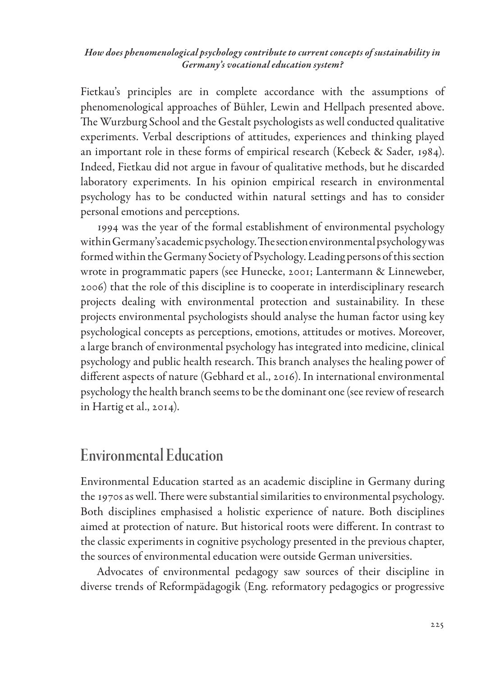Fietkau's principles are in complete accordance with the assumptions of phenomenological approaches of Bühler, Lewin and Hellpach presented above. The Wurzburg School and the Gestalt psychologists as well conducted qualitative experiments. Verbal descriptions of attitudes, experiences and thinking played an important role in these forms of empirical research (Kebeck & Sader, 1984). Indeed, Fietkau did not argue in favour of qualitative methods, but he discarded laboratory experiments. In his opinion empirical research in environmental psychology has to be conducted within natural settings and has to consider personal emotions and perceptions.

1994 was the year of the formal establishment of environmental psychology within Germany's academic psychology. The section environmental psychology was formed within the Germany Society of Psychology. Leading persons of this section wrote in programmatic papers (see Hunecke, 2001; Lantermann & Linneweber, 2006) that the role of this discipline is to cooperate in interdisciplinary research projects dealing with environmental protection and sustainability. In these projects environmental psychologists should analyse the human factor using key psychological concepts as perceptions, emotions, attitudes or motives. Moreover, a large branch of environmental psychology has integrated into medicine, clinical psychology and public health research. This branch analyses the healing power of different aspects of nature (Gebhard et al., 2016). In international environmental psychology the health branch seems to be the dominant one (see review of research in Hartig et al., 2014).

### Environmental Education

Environmental Education started as an academic discipline in Germany during the 1970s as well. There were substantial similarities to environmental psychology. Both disciplines emphasised a holistic experience of nature. Both disciplines aimed at protection of nature. But historical roots were different. In contrast to the classic experiments in cognitive psychology presented in the previous chapter, the sources of environmental education were outside German universities.

Advocates of environmental pedagogy saw sources of their discipline in diverse trends of Reformpädagogik (Eng. reformatory pedagogics or progressive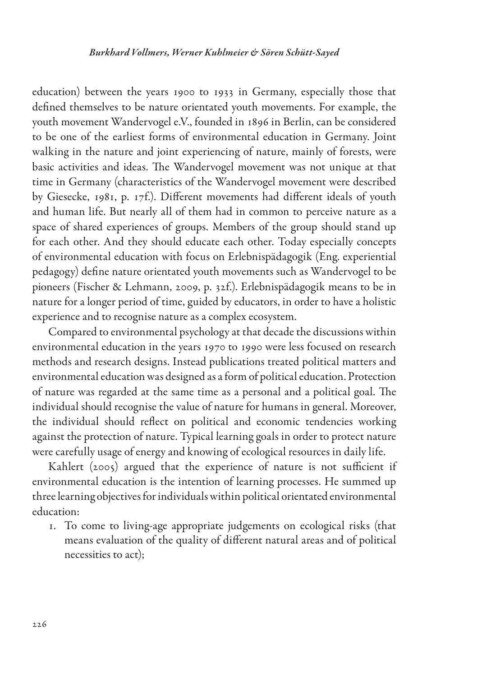education) between the years 1900 to 1933 in Germany, especially those that defined themselves to be nature orientated youth movements. For example, the youth movement Wandervogel e.V., founded in 1896 in Berlin, can be considered to be one of the earliest forms of environmental education in Germany. Joint walking in the nature and joint experiencing of nature, mainly of forests, were basic activities and ideas. The Wandervogel movement was not unique at that time in Germany (characteristics of the Wandervogel movement were described by Giesecke, 1981, p. 17f.). Different movements had different ideals of youth and human life. But nearly all of them had in common to perceive nature as a space of shared experiences of groups. Members of the group should stand up for each other. And they should educate each other. Today especially concepts of environmental education with focus on Erlebnispädagogik (Eng. experiential pedagogy) define nature orientated youth movements such as Wandervogel to be pioneers (Fischer & Lehmann, 2009, p. 32f.). Erlebnispädagogik means to be in nature for a longer period of time, guided by educators, in order to have a holistic experience and to recognise nature as a complex ecosystem.

Compared to environmental psychology at that decade the discussions within environmental education in the years 1970 to 1990 were less focused on research methods and research designs. Instead publications treated political matters and environmental education was designed as a form of political education. Protection of nature was regarded at the same time as a personal and a political goal. The individual should recognise the value of nature for humans in general. Moreover, the individual should reflect on political and economic tendencies working against the protection of nature. Typical learning goals in order to protect nature were carefully usage of energy and knowing of ecological resources in daily life.

Kahlert (2005) argued that the experience of nature is not sufficient if environmental education is the intention of learning processes. He summed up three learning objectives for individuals within political orientated environmental education:

1. To come to living-age appropriate judgements on ecological risks (that means evaluation of the quality of different natural areas and of political necessities to act);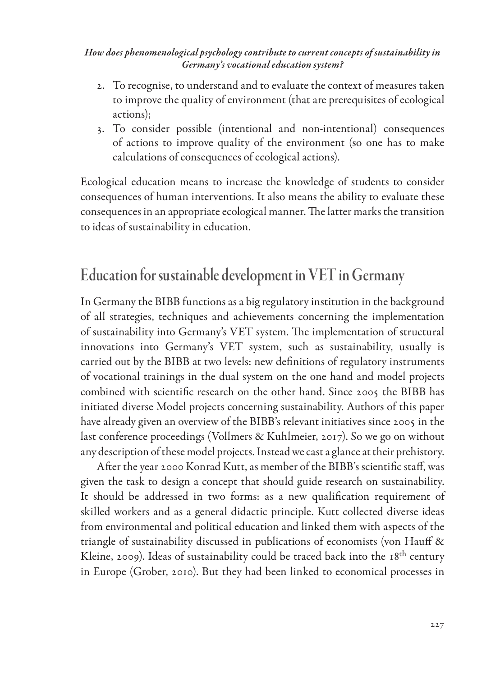- 2. To recognise, to understand and to evaluate the context of measures taken to improve the quality of environment (that are prerequisites of ecological actions);
- 3. To consider possible (intentional and non-intentional) consequences of actions to improve quality of the environment (so one has to make calculations of consequences of ecological actions).

Ecological education means to increase the knowledge of students to consider consequences of human interventions. It also means the ability to evaluate these consequences in an appropriate ecological manner. The latter marks the transition to ideas of sustainability in education.

# Education for sustainable development in VET in Germany

In Germany the BIBB functions as a big regulatory institution in the background of all strategies, techniques and achievements concerning the implementation of sustainability into Germany's VET system. The implementation of structural innovations into Germany's VET system, such as sustainability, usually is carried out by the BIBB at two levels: new definitions of regulatory instruments of vocational trainings in the dual system on the one hand and model projects combined with scientific research on the other hand. Since 2005 the BIBB has initiated diverse Model projects concerning sustainability. Authors of this paper have already given an overview of the BIBB's relevant initiatives since 2005 in the last conference proceedings (Vollmers & Kuhlmeier, 2017). So we go on without any description of these model projects. Instead we cast a glance at their prehistory.

After the year 2000 Konrad Kutt, as member of the BIBB's scientific staff, was given the task to design a concept that should guide research on sustainability. It should be addressed in two forms: as a new qualification requirement of skilled workers and as a general didactic principle. Kutt collected diverse ideas from environmental and political education and linked them with aspects of the triangle of sustainability discussed in publications of economists (von Hauff & Kleine, 2009). Ideas of sustainability could be traced back into the 18<sup>th</sup> century in Europe (Grober, 2010). But they had been linked to economical processes in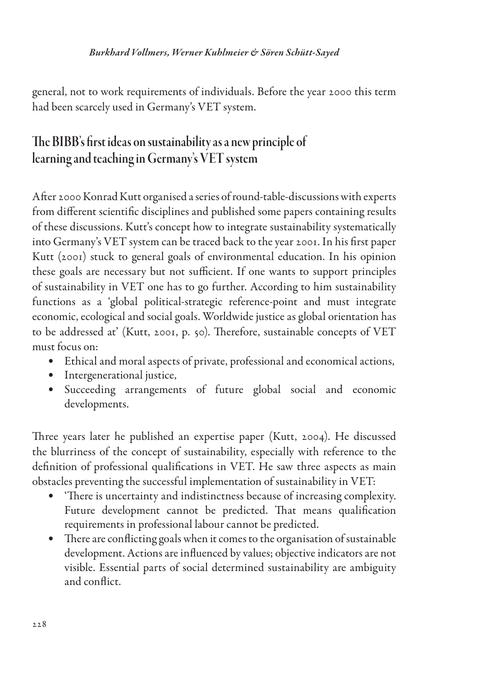general, not to work requirements of individuals. Before the year 2000 this term had been scarcely used in Germany's VET system.

## The BIBB's first ideas on sustainability as a new principle of learning and teaching in Germany's VET system

After 2000 Konrad Kutt organised a series of round-table-discussions with experts from different scientific disciplines and published some papers containing results of these discussions. Kutt's concept how to integrate sustainability systematically into Germany's VET system can be traced back to the year 2001. In his first paper Kutt (2001) stuck to general goals of environmental education. In his opinion these goals are necessary but not sufficient. If one wants to support principles of sustainability in VET one has to go further. According to him sustainability functions as a 'global political-strategic reference-point and must integrate economic, ecological and social goals. Worldwide justice as global orientation has to be addressed at' (Kutt, 2001, p. 50). Therefore, sustainable concepts of VET must focus on:

- Ethical and moral aspects of private, professional and economical actions,
- Intergenerational justice,
- Succeeding arrangements of future global social and economic developments.

Three years later he published an expertise paper (Kutt, 2004). He discussed the blurriness of the concept of sustainability, especially with reference to the definition of professional qualifications in VET. He saw three aspects as main obstacles preventing the successful implementation of sustainability in VET:

- 'There is uncertainty and indistinctness because of increasing complexity. Future development cannot be predicted. That means qualification requirements in professional labour cannot be predicted.
- There are conflicting goals when it comes to the organisation of sustainable development. Actions are influenced by values; objective indicators are not visible. Essential parts of social determined sustainability are ambiguity and conflict.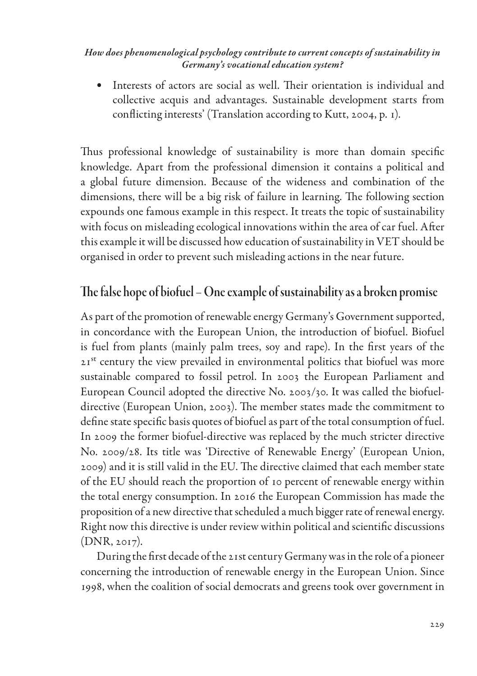• Interests of actors are social as well. Their orientation is individual and collective acquis and advantages. Sustainable development starts from conflicting interests' (Translation according to Kutt, 2004, p. 1).

Thus professional knowledge of sustainability is more than domain specific knowledge. Apart from the professional dimension it contains a political and a global future dimension. Because of the wideness and combination of the dimensions, there will be a big risk of failure in learning. The following section expounds one famous example in this respect. It treats the topic of sustainability with focus on misleading ecological innovations within the area of car fuel. After this example it will be discussed how education of sustainability in VET should be organised in order to prevent such misleading actions in the near future.

### The false hope of biofuel – One example of sustainability as a broken promise

As part of the promotion of renewable energy Germany's Government supported, in concordance with the European Union, the introduction of biofuel. Biofuel is fuel from plants (mainly palm trees, soy and rape). In the first years of the 21st century the view prevailed in environmental politics that biofuel was more sustainable compared to fossil petrol. In 2003 the European Parliament and European Council adopted the directive No. 2003/30. It was called the biofueldirective (European Union, 2003). The member states made the commitment to define state specific basis quotes of biofuel as part of the total consumption of fuel. In 2009 the former biofuel-directive was replaced by the much stricter directive No. 2009/28. Its title was 'Directive of Renewable Energy' (European Union, 2009) and it is still valid in the EU. The directive claimed that each member state of the EU should reach the proportion of 10 percent of renewable energy within the total energy consumption. In 2016 the European Commission has made the proposition of a new directive that scheduled a much bigger rate of renewal energy. Right now this directive is under review within political and scientific discussions (DNR, 2017).

During the first decade of the 21st century Germany was in the role of a pioneer concerning the introduction of renewable energy in the European Union. Since 1998, when the coalition of social democrats and greens took over government in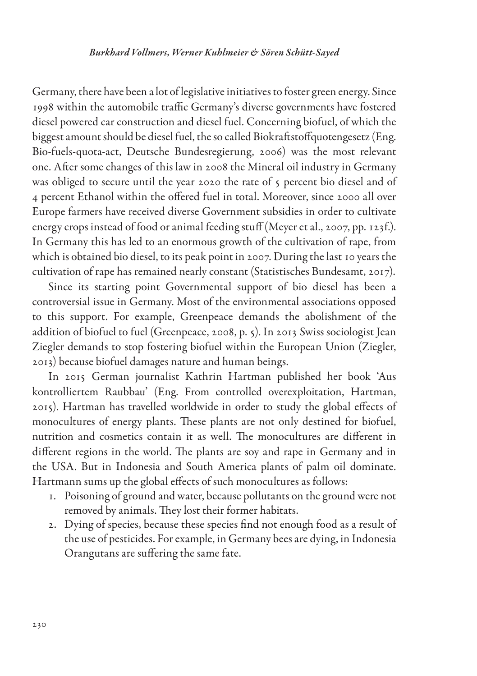Germany, there have been a lot of legislative initiatives to foster green energy. Since 1998 within the automobile traffic Germany's diverse governments have fostered diesel powered car construction and diesel fuel. Concerning biofuel, of which the biggest amount should be diesel fuel, the so called Biokraftstoffquotengesetz (Eng. Bio-fuels-quota-act, Deutsche Bundesregierung, 2006) was the most relevant one. After some changes of this law in 2008 the Mineral oil industry in Germany was obliged to secure until the year 2020 the rate of 5 percent bio diesel and of 4 percent Ethanol within the offered fuel in total. Moreover, since 2000 all over Europe farmers have received diverse Government subsidies in order to cultivate energy crops instead of food or animal feeding stuff (Meyer et al., 2007, pp. 123f.). In Germany this has led to an enormous growth of the cultivation of rape, from which is obtained bio diesel, to its peak point in 2007. During the last 10 years the cultivation of rape has remained nearly constant (Statistisches Bundesamt, 2017).

Since its starting point Governmental support of bio diesel has been a controversial issue in Germany. Most of the environmental associations opposed to this support. For example, Greenpeace demands the abolishment of the addition of biofuel to fuel (Greenpeace, 2008, p. 5). In 2013 Swiss sociologist Jean Ziegler demands to stop fostering biofuel within the European Union (Ziegler, 2013) because biofuel damages nature and human beings.

In 2015 German journalist Kathrin Hartman published her book 'Aus kontrolliertem Raubbau' (Eng. From controlled overexploitation, Hartman, 2015). Hartman has travelled worldwide in order to study the global effects of monocultures of energy plants. These plants are not only destined for biofuel, nutrition and cosmetics contain it as well. The monocultures are different in different regions in the world. The plants are soy and rape in Germany and in the USA. But in Indonesia and South America plants of palm oil dominate. Hartmann sums up the global effects of such monocultures as follows:

- 1. Poisoning of ground and water, because pollutants on the ground were not removed by animals. They lost their former habitats.
- 2. Dying of species, because these species find not enough food as a result of the use of pesticides. For example, in Germany bees are dying, in Indonesia Orangutans are suffering the same fate.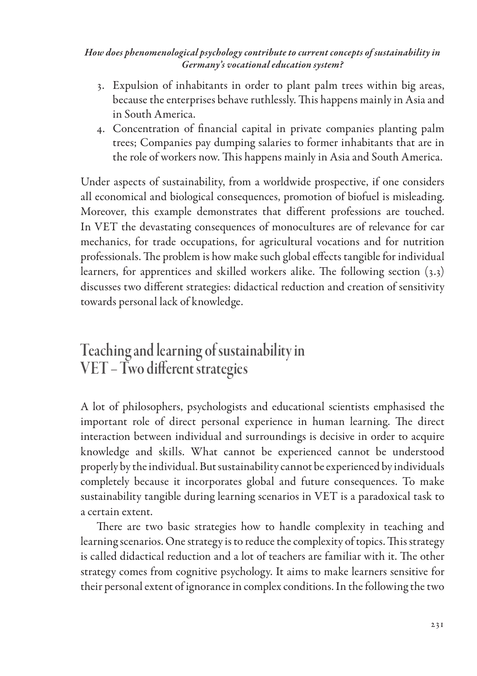- 3. Expulsion of inhabitants in order to plant palm trees within big areas, because the enterprises behave ruthlessly. This happens mainly in Asia and in South America.
- 4. Concentration of financial capital in private companies planting palm trees; Companies pay dumping salaries to former inhabitants that are in the role of workers now. This happens mainly in Asia and South America.

Under aspects of sustainability, from a worldwide prospective, if one considers all economical and biological consequences, promotion of biofuel is misleading. Moreover, this example demonstrates that different professions are touched. In VET the devastating consequences of monocultures are of relevance for car mechanics, for trade occupations, for agricultural vocations and for nutrition professionals. The problem is how make such global effects tangible for individual learners, for apprentices and skilled workers alike. The following section (3.3) discusses two different strategies: didactical reduction and creation of sensitivity towards personal lack of knowledge.

# Teaching and learning of sustainability in VET – Two different strategies

A lot of philosophers, psychologists and educational scientists emphasised the important role of direct personal experience in human learning. The direct interaction between individual and surroundings is decisive in order to acquire knowledge and skills. What cannot be experienced cannot be understood properly by the individual. But sustainability cannot be experienced by individuals completely because it incorporates global and future consequences. To make sustainability tangible during learning scenarios in VET is a paradoxical task to a certain extent.

There are two basic strategies how to handle complexity in teaching and learning scenarios. One strategy is to reduce the complexity of topics. This strategy is called didactical reduction and a lot of teachers are familiar with it. The other strategy comes from cognitive psychology. It aims to make learners sensitive for their personal extent of ignorance in complex conditions. In the following the two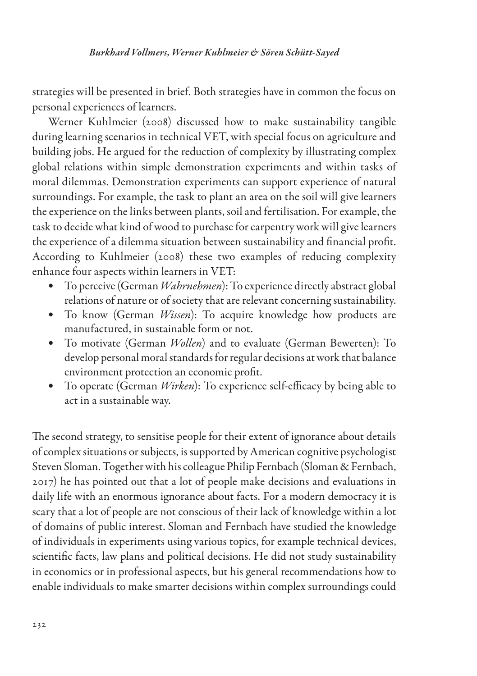strategies will be presented in brief. Both strategies have in common the focus on personal experiences of learners.

Werner Kuhlmeier (2008) discussed how to make sustainability tangible during learning scenarios in technical VET, with special focus on agriculture and building jobs. He argued for the reduction of complexity by illustrating complex global relations within simple demonstration experiments and within tasks of moral dilemmas. Demonstration experiments can support experience of natural surroundings. For example, the task to plant an area on the soil will give learners the experience on the links between plants, soil and fertilisation. For example, the task to decide what kind of wood to purchase for carpentry work will give learners the experience of a dilemma situation between sustainability and financial profit. According to Kuhlmeier (2008) these two examples of reducing complexity enhance four aspects within learners in VET:

- To perceive (German *Wahrnehmen*): To experience directly abstract global relations of nature or of society that are relevant concerning sustainability.
- To know (German *Wissen*): To acquire knowledge how products are manufactured, in sustainable form or not.
- To motivate (German *Wollen*) and to evaluate (German Bewerten): To develop personal moral standards for regular decisions at work that balance environment protection an economic profit.
- To operate (German *Wirken*): To experience self-efficacy by being able to act in a sustainable way.

The second strategy, to sensitise people for their extent of ignorance about details of complex situations or subjects, is supported by American cognitive psychologist Steven Sloman. Together with his colleague Philip Fernbach (Sloman & Fernbach, 2017) he has pointed out that a lot of people make decisions and evaluations in daily life with an enormous ignorance about facts. For a modern democracy it is scary that a lot of people are not conscious of their lack of knowledge within a lot of domains of public interest. Sloman and Fernbach have studied the knowledge of individuals in experiments using various topics, for example technical devices, scientific facts, law plans and political decisions. He did not study sustainability in economics or in professional aspects, but his general recommendations how to enable individuals to make smarter decisions within complex surroundings could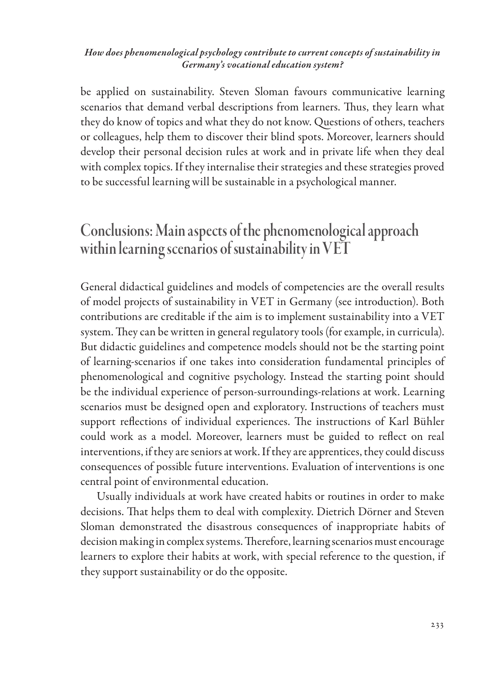be applied on sustainability. Steven Sloman favours communicative learning scenarios that demand verbal descriptions from learners. Thus, they learn what they do know of topics and what they do not know. Questions of others, teachers or colleagues, help them to discover their blind spots. Moreover, learners should develop their personal decision rules at work and in private life when they deal with complex topics. If they internalise their strategies and these strategies proved to be successful learning will be sustainable in a psychological manner.

# Conclusions: Main aspects of the phenomenological approach within learning scenarios of sustainability in VET

General didactical guidelines and models of competencies are the overall results of model projects of sustainability in VET in Germany (see introduction). Both contributions are creditable if the aim is to implement sustainability into a VET system. They can be written in general regulatory tools (for example, in curricula). But didactic guidelines and competence models should not be the starting point of learning-scenarios if one takes into consideration fundamental principles of phenomenological and cognitive psychology. Instead the starting point should be the individual experience of person-surroundings-relations at work. Learning scenarios must be designed open and exploratory. Instructions of teachers must support reflections of individual experiences. The instructions of Karl Bühler could work as a model. Moreover, learners must be guided to reflect on real interventions, if they are seniors at work. If they are apprentices, they could discuss consequences of possible future interventions. Evaluation of interventions is one central point of environmental education.

Usually individuals at work have created habits or routines in order to make decisions. That helps them to deal with complexity. Dietrich Dörner and Steven Sloman demonstrated the disastrous consequences of inappropriate habits of decision making in complex systems. Therefore, learning scenarios must encourage learners to explore their habits at work, with special reference to the question, if they support sustainability or do the opposite.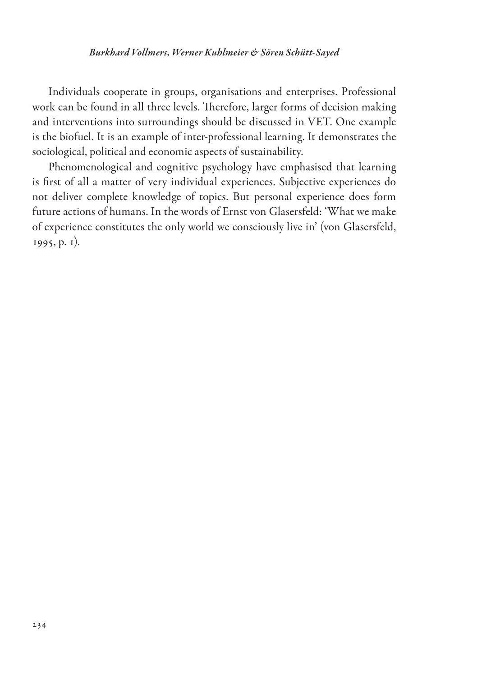Individuals cooperate in groups, organisations and enterprises. Professional work can be found in all three levels. Therefore, larger forms of decision making and interventions into surroundings should be discussed in VET. One example is the biofuel. It is an example of inter-professional learning. It demonstrates the sociological, political and economic aspects of sustainability.

Phenomenological and cognitive psychology have emphasised that learning is first of all a matter of very individual experiences. Subjective experiences do not deliver complete knowledge of topics. But personal experience does form future actions of humans. In the words of Ernst von Glasersfeld: 'What we make of experience constitutes the only world we consciously live in' (von Glasersfeld, 1995, p. 1).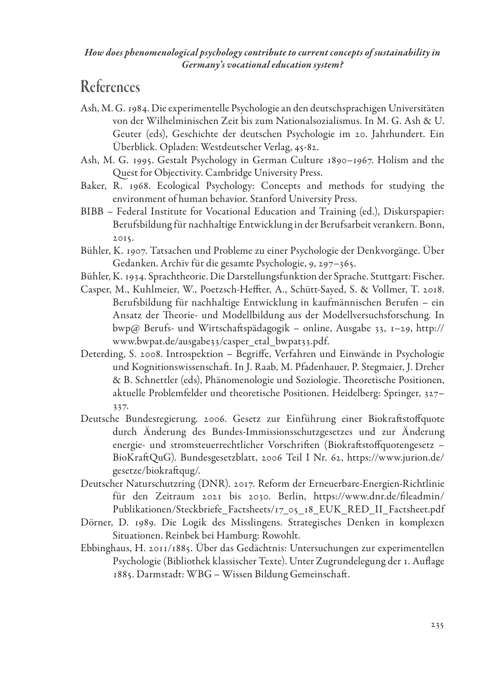### References

- Ash, M. G. 1984. Die experimentelle Psychologie an den deutschsprachigen Universitäten von der Wilhelminischen Zeit bis zum Nationalsozialismus. In M. G. Ash & U. Geuter (eds), Geschichte der deutschen Psychologie im 20. Jahrhundert. Ein Überblick. Opladen: Westdeutscher Verlag, 45-82.
- Ash, M. G. 1995. Gestalt Psychology in German Culture 1890–1967. Holism and the Quest for Objectivity. Cambridge University Press.
- Baker, R. 1968. Ecological Psychology: Concepts and methods for studying the environment of human behavior. Stanford University Press.
- BIBB Federal Institute for Vocational Education and Training (ed.), Diskurspapier: Berufsbildung für nachhaltige Entwicklung in der Berufsarbeit verankern. Bonn, 2015.
- Bühler, K. 1907. Tatsachen und Probleme zu einer Psychologie der Denkvorgänge. Über Gedanken. Archiv für die gesamte Psychologie, 9, 297–365.
- Bühler, K. 1934. Sprachtheorie. Die Darstellungsfunktion der Sprache. Stuttgart: Fischer.
- Casper, M., Kuhlmeier, W., Poetzsch-Heffter, A., Schütt-Sayed, S. & Vollmer, T. 2018. Berufsbildung für nachhaltige Entwicklung in kaufmännischen Berufen – ein Ansatz der Theorie- und Modellbildung aus der Modellversuchsforschung. In bwp@ Berufs- und Wirtschaftspädagogik – online, Ausgabe 33, 1–29, http:// www.bwpat.de/ausgabe33/casper\_etal\_bwpat33.pdf.
- Deterding, S. 2008. Introspektion Begriffe, Verfahren und Einwände in Psychologie und Kognitionswissenschaft. In J. Raab, M. Pfadenhauer, P. Stegmaier, J. Dreher & B. Schnettler (eds), Phänomenologie und Soziologie. Theoretische Positionen, aktuelle Problemfelder und theoretische Positionen. Heidelberg: Springer, 327– 337.
- Deutsche Bundesregierung. 2006. Gesetz zur Einführung einer Biokraftstoffquote durch Änderung des Bundes-Immissionsschutzgesetzes und zur Änderung energie- und stromsteuerrechtlicher Vorschriften (Biokraftstoffquotengesetz – BioKraftQuG). Bundesgesetzblatt, 2006 Teil I Nr. 62, https://www.jurion.de/ gesetze/biokraftqug/.
- Deutscher Naturschutzring (DNR). 2017. Reform der Erneuerbare-Energien-Richtlinie für den Zeitraum 2021 bis 2030. Berlin, https://www.dnr.de/fileadmin/ Publikationen/Steckbriefe\_Factsheets/17\_05\_18\_EUK\_RED\_II\_Factsheet.pdf
- Dörner, D. 1989. Die Logik des Misslingens. Strategisches Denken in komplexen Situationen. Reinbek bei Hamburg: Rowohlt.
- Ebbinghaus, H. 2011/1885. Über das Gedächtnis: Untersuchungen zur experimentellen Psychologie (Bibliothek klassischer Texte). Unter Zugrundelegung der 1. Auflage 1885. Darmstadt: WBG – Wissen Bildung Gemeinschaft.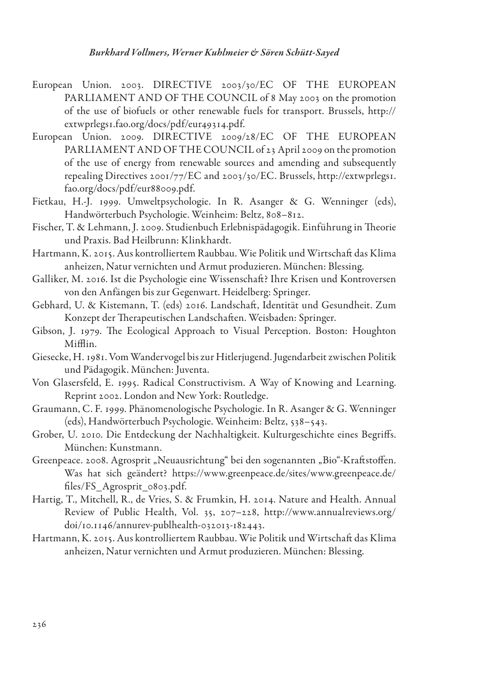- European Union. 2003. DIRECTIVE 2003/30/EC OF THE EUROPEAN PARLIAMENT AND OF THE COUNCIL of 8 May 2003 on the promotion of the use of biofuels or other renewable fuels for transport. Brussels, http:// extwprlegs1.fao.org/docs/pdf/eur49314.pdf.
- European Union. 2009. DIRECTIVE 2009/28/EC OF THE EUROPEAN PARLIAMENT AND OF THE COUNCIL of 23 April 2009 on the promotion of the use of energy from renewable sources and amending and subsequently repealing Directives 2001/77/EC and 2003/30/EC. Brussels, http://extwprlegs1. fao.org/docs/pdf/eur88009.pdf.
- Fietkau, H.-J. 1999. Umweltpsychologie. In R. Asanger & G. Wenninger (eds), Handwörterbuch Psychologie. Weinheim: Beltz, 808–812.
- Fischer, T. & Lehmann, J. 2009. Studienbuch Erlebnispädagogik. Einführung in Theorie und Praxis. Bad Heilbrunn: Klinkhardt.
- Hartmann, K. 2015. Aus kontrolliertem Raubbau. Wie Politik und Wirtschaft das Klima anheizen, Natur vernichten und Armut produzieren. München: Blessing.
- Galliker, M. 2016. Ist die Psychologie eine Wissenschaft? Ihre Krisen und Kontroversen von den Anfängen bis zur Gegenwart. Heidelberg: Springer.
- Gebhard, U. & Kistemann, T. (eds) 2016. Landschaft, Identität und Gesundheit. Zum Konzept der Therapeutischen Landschaften. Weisbaden: Springer.
- Gibson, J. 1979. The Ecological Approach to Visual Perception. Boston: Houghton Mifflin.
- Giesecke, H. 1981. Vom Wandervogel bis zur Hitlerjugend. Jugendarbeit zwischen Politik und Pädagogik. München: Juventa.
- Von Glasersfeld, E. 1995. Radical Constructivism. A Way of Knowing and Learning. Reprint 2002. London and New York: Routledge.
- Graumann, C. F. 1999. Phänomenologische Psychologie. In R. Asanger & G. Wenninger (eds), Handwörterbuch Psychologie. Weinheim: Beltz, 538–543.
- Grober, U. 2010. Die Entdeckung der Nachhaltigkeit. Kulturgeschichte eines Begriffs. München: Kunstmann.
- Greenpeace. 2008. Agrosprit "Neuausrichtung" bei den sogenannten "Bio"-Kraftstoffen. Was hat sich geändert? https://www.greenpeace.de/sites/www.greenpeace.de/ files/FS\_Agrosprit\_0803.pdf.
- Hartig, T., Mitchell, R., de Vries, S. & Frumkin, H. 2014. Nature and Health. Annual Review of Public Health, Vol. 35, 207–228, http://www.annualreviews.org/ doi/10.1146/annurev-publhealth-032013-182443.
- Hartmann, K. 2015. Aus kontrolliertem Raubbau. Wie Politik und Wirtschaft das Klima anheizen, Natur vernichten und Armut produzieren. München: Blessing.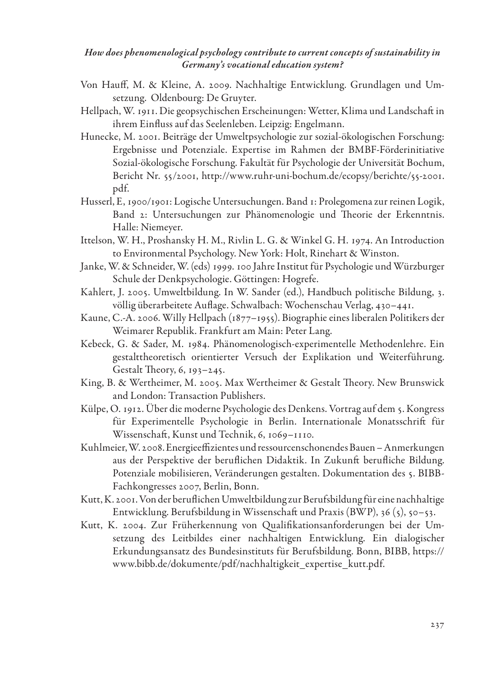- Von Hauff, M. & Kleine, A. 2009. Nachhaltige Entwicklung. Grundlagen und Umsetzung. Oldenbourg: De Gruyter.
- Hellpach, W. 1911. Die geopsychischen Erscheinungen: Wetter, Klima und Landschaft in ihrem Einfluss auf das Seelenleben. Leipzig: Engelmann.
- Hunecke, M. 2001. Beiträge der Umweltpsychologie zur sozial-ökologischen Forschung: Ergebnisse und Potenziale. Expertise im Rahmen der BMBF-Förderinitiative Sozial-ökologische Forschung. Fakultät für Psychologie der Universität Bochum, Bericht Nr. 55/2001, http://www.ruhr-uni-bochum.de/ecopsy/berichte/55-2001. pdf.
- Husserl, E, 1900/1901: Logische Untersuchungen. Band 1: Prolegomena zur reinen Logik, Band 2: Untersuchungen zur Phänomenologie und Theorie der Erkenntnis. Halle: Niemeyer.
- Ittelson, W. H., Proshansky H. M., Rivlin L. G. & Winkel G. H. 1974. An Introduction to Environmental Psychology. New York: Holt, Rinehart & Winston.
- Janke, W. & Schneider, W. (eds) 1999. 100 Jahre Institut für Psychologie und Würzburger Schule der Denkpsychologie. Göttingen: Hogrefe.
- Kahlert, J. 2005. Umweltbildung. In W. Sander (ed.), Handbuch politische Bildung, 3. völlig überarbeitete Auflage. Schwalbach: Wochenschau Verlag, 430–441.
- Kaune, C.-A. 2006. Willy Hellpach (1877–1955). Biographie eines liberalen Politikers der Weimarer Republik. Frankfurt am Main: Peter Lang.
- Kebeck, G. & Sader, M. 1984. Phänomenologisch-experimentelle Methodenlehre. Ein gestalttheoretisch orientierter Versuch der Explikation und Weiterführung. Gestalt Theory, 6, 193–245.
- King, B. & Wertheimer, M. 2005. Max Wertheimer & Gestalt Theory. New Brunswick and London: Transaction Publishers.
- Külpe, O. 1912. Über die moderne Psychologie des Denkens. Vortrag auf dem 5. Kongress für Experimentelle Psychologie in Berlin. Internationale Monatsschrift für Wissenschaft, Kunst und Technik, 6, 1069–1110.
- Kuhlmeier, W. 2008. Energieeffizientes und ressourcenschonendes Bauen Anmerkungen aus der Perspektive der beruflichen Didaktik. In Zukunft berufliche Bildung. Potenziale mobilisieren, Veränderungen gestalten. Dokumentation des 5. BIBB-Fachkongresses 2007, Berlin, Bonn.
- Kutt, K. 2001. Von der beruflichen Umweltbildung zur Berufsbildung für eine nachhaltige Entwicklung. Berufsbildung in Wissenschaft und Praxis (BWP), 36 (5), 50–53.
- Kutt, K. 2004. Zur Früherkennung von Qualifikationsanforderungen bei der Umsetzung des Leitbildes einer nachhaltigen Entwicklung. Ein dialogischer Erkundungsansatz des Bundesinstituts für Berufsbildung. Bonn, BIBB, https:// www.bibb.de/dokumente/pdf/nachhaltigkeit\_expertise\_kutt.pdf.